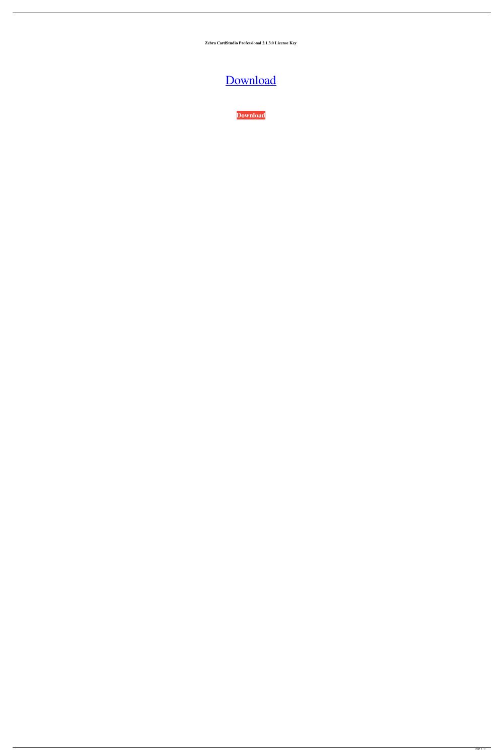**Zebra CardStudio Professional 2.1.3.0 License Key**

## [Download](https://shoxet.com/2l3c69)

**[Download](https://shoxet.com/2l3c69)**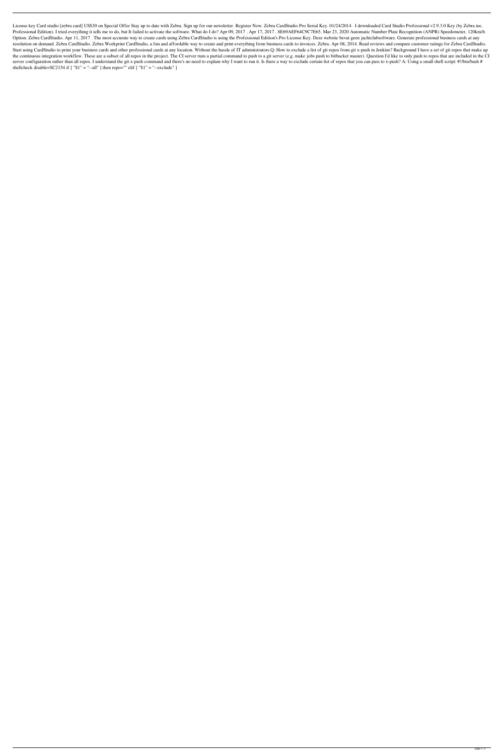License key Card studio [zebra card] US\$30 on Special Offer Stay up to date with Zebra. Sign up for our newsletter. Register Now. Zebra CardStudio Pro Serial Key. 01/24/2014 · I downloaded Card Studio Professional v2.9.3.0 Professional Edition). I tried everything it tells me to do, but It failed to activate the software. What do I do? Apr 09, 2017. Apr 17, 2017. 8E69AEF64C9C7E65. Mar 23, 2020 Automatic Number Plate Recognition (ANPR) Speedo Option. Zebra CardStudio. Apr 11, 2017. The most accurate way to create cards using Zebra CardStudio is using the Professional Edition's Pro License Key. Deze website bevat geen jachtclubsoftware. Generate professional bus resolution on demand. Zebra CardStudio. Zebra Workprint CardStudio, a fun and affordable way to create and print everything from business cards to invoices. Zebra. Apr 08, 2014. Read reviews and compare customer ratings fo Start using CardStudio to print your business cards and other professional cards at any location. Without the hassle of IT administrators.Q: How to exclude a list of git repos from git x-push in Jenkins? Background I have the continuous integration workflow. These are a subset of all repos in the project. The CI server runs a partial command to push to a git server (e.g. make jobs push to bitbucket master). Question I'd like to only push to server configuration rather than all repos. I understand the git x-push command and there's no need to explain why I want to run it. Is there a way to exclude certain list of repos that you can pass to x-push? A: Using a s shellcheck disable=SC2154 if  $[$  "\$1" = "--all" ] then repo="" elif  $[$  "\$1" = "--exclude" ]